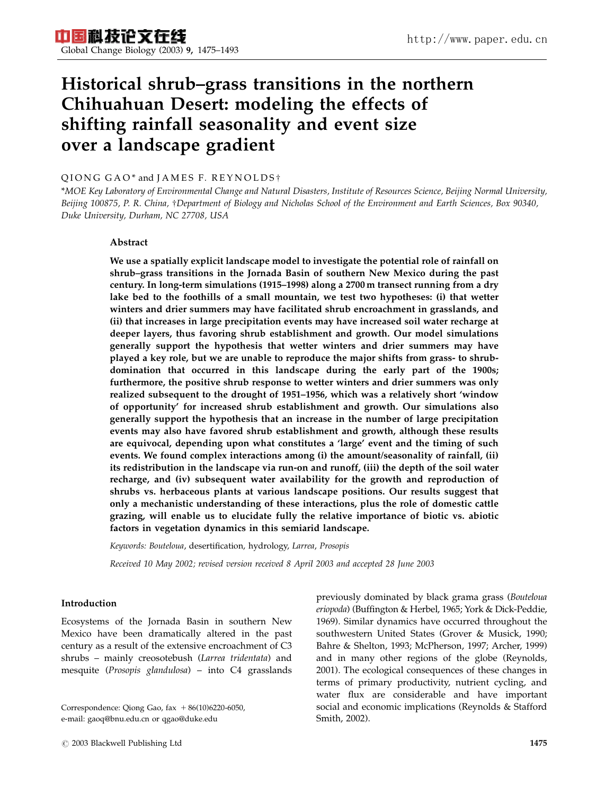# Historical shrub–grass transitions in the northern Chihuahuan Desert: modeling the effects of shifting rainfall seasonality and event size over a landscape gradient

# QIONG GAO\* and JAMES F. REYNOLDS<sup>+</sup>

\*MOE Key Laboratory of Environmental Change and Natural Disasters, Institute of Resources Science, Beijing Normal University, Beijing 100875, P. R. China, †Department of Biology and Nicholas School of the Environment and Earth Sciences, Box 90340, Duke University, Durham, NC 27708, USA

# Abstract

We use a spatially explicit landscape model to investigate the potential role of rainfall on shrub–grass transitions in the Jornada Basin of southern New Mexico during the past century. In long-term simulations (1915–1998) along a 2700 m transect running from a dry lake bed to the foothills of a small mountain, we test two hypotheses: (i) that wetter winters and drier summers may have facilitated shrub encroachment in grasslands, and (ii) that increases in large precipitation events may have increased soil water recharge at deeper layers, thus favoring shrub establishment and growth. Our model simulations generally support the hypothesis that wetter winters and drier summers may have played a key role, but we are unable to reproduce the major shifts from grass- to shrubdomination that occurred in this landscape during the early part of the 1900s; furthermore, the positive shrub response to wetter winters and drier summers was only realized subsequent to the drought of 1951–1956, which was a relatively short 'window of opportunity' for increased shrub establishment and growth. Our simulations also generally support the hypothesis that an increase in the number of large precipitation events may also have favored shrub establishment and growth, although these results are equivocal, depending upon what constitutes a 'large' event and the timing of such events. We found complex interactions among (i) the amount/seasonality of rainfall, (ii) its redistribution in the landscape via run-on and runoff, (iii) the depth of the soil water recharge, and (iv) subsequent water availability for the growth and reproduction of shrubs vs. herbaceous plants at various landscape positions. Our results suggest that only a mechanistic understanding of these interactions, plus the role of domestic cattle grazing, will enable us to elucidate fully the relative importance of biotic vs. abiotic factors in vegetation dynamics in this semiarid landscape.

Keywords: Bouteloua, desertification, hydrology, Larrea, Prosopis

Received 10 May 2002; revised version received 8 April 2003 and accepted 28 June 2003

# Introduction

Ecosystems of the Jornada Basin in southern New Mexico have been dramatically altered in the past century as a result of the extensive encroachment of C3 shrubs – mainly creosotebush (Larrea tridentata) and mesquite (Prosopis glandulosa) – into C4 grasslands

Correspondence: Qiong Gao, fax  $+86(10)6220-6050$ , e-mail: gaoq@bnu.edu.cn or qgao@duke.edu

previously dominated by black grama grass (Bouteloua eriopoda) (Buffington & Herbel, 1965; York & Dick-Peddie, 1969). Similar dynamics have occurred throughout the southwestern United States (Grover & Musick, 1990; Bahre & Shelton, 1993; McPherson, 1997; Archer, 1999) and in many other regions of the globe (Reynolds, 2001). The ecological consequences of these changes in terms of primary productivity, nutrient cycling, and water flux are considerable and have important social and economic implications (Reynolds & Stafford Smith, 2002).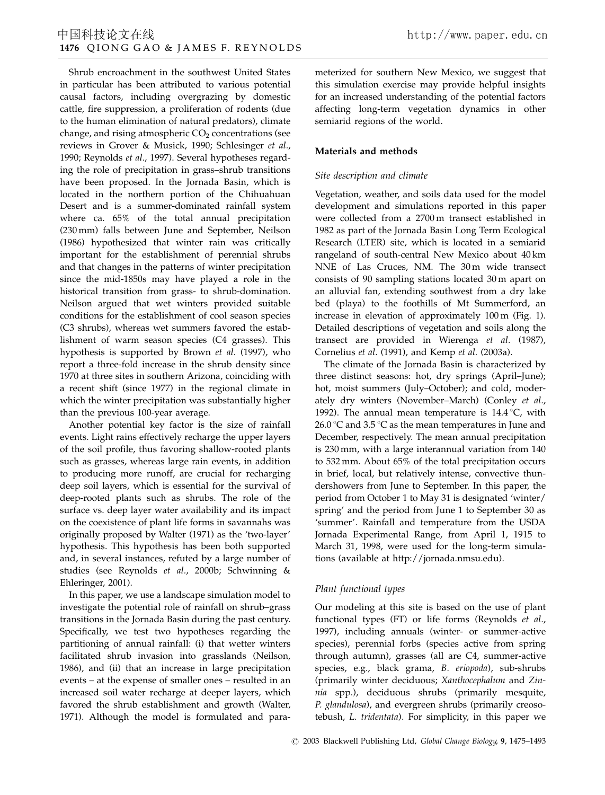Shrub encroachment in the southwest United States in particular has been attributed to various potential causal factors, including overgrazing by domestic cattle, fire suppression, a proliferation of rodents (due to the human elimination of natural predators), climate change, and rising atmospheric  $CO<sub>2</sub>$  concentrations (see reviews in Grover & Musick, 1990; Schlesinger et al., 1990; Reynolds et al., 1997). Several hypotheses regarding the role of precipitation in grass–shrub transitions have been proposed. In the Jornada Basin, which is located in the northern portion of the Chihuahuan Desert and is a summer-dominated rainfall system where ca. 65% of the total annual precipitation (230 mm) falls between June and September, Neilson (1986) hypothesized that winter rain was critically important for the establishment of perennial shrubs and that changes in the patterns of winter precipitation since the mid-1850s may have played a role in the historical transition from grass- to shrub-domination. Neilson argued that wet winters provided suitable conditions for the establishment of cool season species (C3 shrubs), whereas wet summers favored the establishment of warm season species (C4 grasses). This hypothesis is supported by Brown et al. (1997), who report a three-fold increase in the shrub density since 1970 at three sites in southern Arizona, coinciding with a recent shift (since 1977) in the regional climate in which the winter precipitation was substantially higher than the previous 100-year average.

Another potential key factor is the size of rainfall events. Light rains effectively recharge the upper layers of the soil profile, thus favoring shallow-rooted plants such as grasses, whereas large rain events, in addition to producing more runoff, are crucial for recharging deep soil layers, which is essential for the survival of deep-rooted plants such as shrubs. The role of the surface vs. deep layer water availability and its impact on the coexistence of plant life forms in savannahs was originally proposed by Walter (1971) as the 'two-layer' hypothesis. This hypothesis has been both supported and, in several instances, refuted by a large number of studies (see Reynolds et al., 2000b; Schwinning & Ehleringer, 2001).

In this paper, we use a landscape simulation model to investigate the potential role of rainfall on shrub–grass transitions in the Jornada Basin during the past century. Specifically, we test two hypotheses regarding the partitioning of annual rainfall: (i) that wetter winters facilitated shrub invasion into grasslands (Neilson, 1986), and (ii) that an increase in large precipitation events – at the expense of smaller ones – resulted in an increased soil water recharge at deeper layers, which favored the shrub establishment and growth (Walter, 1971). Although the model is formulated and parameterized for southern New Mexico, we suggest that this simulation exercise may provide helpful insights for an increased understanding of the potential factors affecting long-term vegetation dynamics in other semiarid regions of the world.

# Materials and methods

# Site description and climate

Vegetation, weather, and soils data used for the model development and simulations reported in this paper were collected from a 2700 m transect established in 1982 as part of the Jornada Basin Long Term Ecological Research (LTER) site, which is located in a semiarid rangeland of south-central New Mexico about 40 km NNE of Las Cruces, NM. The 30 m wide transect consists of 90 sampling stations located 30 m apart on an alluvial fan, extending southwest from a dry lake bed (playa) to the foothills of Mt Summerford, an increase in elevation of approximately 100 m (Fig. 1). Detailed descriptions of vegetation and soils along the transect are provided in Wierenga et al. (1987), Cornelius et al. (1991), and Kemp et al. (2003a).

The climate of the Jornada Basin is characterized by three distinct seasons: hot, dry springs (April–June); hot, moist summers (July–October); and cold, moderately dry winters (November–March) (Conley et al., 1992). The annual mean temperature is  $14.4\text{ }^{\circ}\text{C}$ , with 26.0 °C and 3.5 °C as the mean temperatures in June and December, respectively. The mean annual precipitation is 230 mm, with a large interannual variation from 140 to 532 mm. About 65% of the total precipitation occurs in brief, local, but relatively intense, convective thundershowers from June to September. In this paper, the period from October 1 to May 31 is designated 'winter/ spring' and the period from June 1 to September 30 as 'summer'. Rainfall and temperature from the USDA Jornada Experimental Range, from April 1, 1915 to March 31, 1998, were used for the long-term simulations (available at http://jornada.nmsu.edu).

# Plant functional types

Our modeling at this site is based on the use of plant functional types (FT) or life forms (Reynolds et al., 1997), including annuals (winter- or summer-active species), perennial forbs (species active from spring through autumn), grasses (all are C4, summer-active species, e.g., black grama, B. eriopoda), sub-shrubs (primarily winter deciduous; Xanthocephalum and Zinnia spp.), deciduous shrubs (primarily mesquite, P. glandulosa), and evergreen shrubs (primarily creosotebush, L. tridentata). For simplicity, in this paper we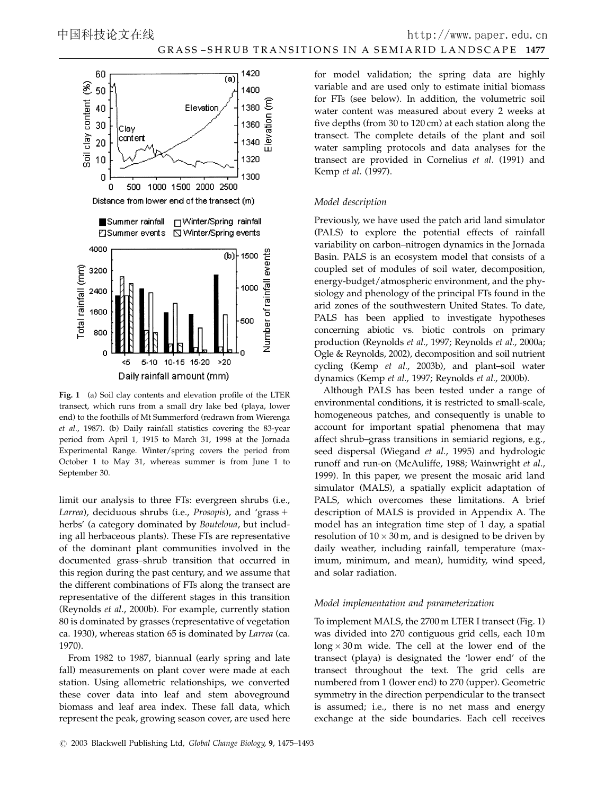

Fig. 1 (a) Soil clay contents and elevation profile of the LTER transect, which runs from a small dry lake bed (playa, lower end) to the foothills of Mt Summerford (redrawn from Wierenga et al., 1987). (b) Daily rainfall statistics covering the 83-year period from April 1, 1915 to March 31, 1998 at the Jornada Experimental Range. Winter/spring covers the period from October 1 to May 31, whereas summer is from June 1 to September 30.

limit our analysis to three FTs: evergreen shrubs (i.e., Larrea), deciduous shrubs (i.e., Prosopis), and 'grass + herbs' (a category dominated by Bouteloua, but including all herbaceous plants). These FTs are representative of the dominant plant communities involved in the documented grass–shrub transition that occurred in this region during the past century, and we assume that the different combinations of FTs along the transect are representative of the different stages in this transition (Reynolds et al., 2000b). For example, currently station 80 is dominated by grasses (representative of vegetation ca. 1930), whereas station 65 is dominated by Larrea (ca. 1970).

From 1982 to 1987, biannual (early spring and late fall) measurements on plant cover were made at each station. Using allometric relationships, we converted these cover data into leaf and stem aboveground biomass and leaf area index. These fall data, which represent the peak, growing season cover, are used here for model validation; the spring data are highly variable and are used only to estimate initial biomass for FTs (see below). In addition, the volumetric soil water content was measured about every 2 weeks at five depths (from 30 to 120 cm) at each station along the transect. The complete details of the plant and soil water sampling protocols and data analyses for the transect are provided in Cornelius et al. (1991) and Kemp et al. (1997).

## Model description

Previously, we have used the patch arid land simulator (PALS) to explore the potential effects of rainfall variability on carbon–nitrogen dynamics in the Jornada Basin. PALS is an ecosystem model that consists of a coupled set of modules of soil water, decomposition, energy-budget/atmospheric environment, and the physiology and phenology of the principal FTs found in the arid zones of the southwestern United States. To date, PALS has been applied to investigate hypotheses concerning abiotic vs. biotic controls on primary production (Reynolds et al., 1997; Reynolds et al., 2000a; Ogle & Reynolds, 2002), decomposition and soil nutrient cycling (Kemp et al., 2003b), and plant–soil water dynamics (Kemp et al., 1997; Reynolds et al., 2000b).

Although PALS has been tested under a range of environmental conditions, it is restricted to small-scale, homogeneous patches, and consequently is unable to account for important spatial phenomena that may affect shrub–grass transitions in semiarid regions, e.g., seed dispersal (Wiegand et al., 1995) and hydrologic runoff and run-on (McAuliffe, 1988; Wainwright et al., 1999). In this paper, we present the mosaic arid land simulator (MALS), a spatially explicit adaptation of PALS, which overcomes these limitations. A brief description of MALS is provided in Appendix A. The model has an integration time step of 1 day, a spatial resolution of  $10 \times 30$  m, and is designed to be driven by daily weather, including rainfall, temperature (maximum, minimum, and mean), humidity, wind speed, and solar radiation.

## Model implementation and parameterization

To implement MALS, the 2700 m LTER I transect (Fig. 1) was divided into 270 contiguous grid cells, each 10 m  $\log x 30$  m wide. The cell at the lower end of the transect (playa) is designated the 'lower end' of the transect throughout the text. The grid cells are numbered from 1 (lower end) to 270 (upper). Geometric symmetry in the direction perpendicular to the transect is assumed; i.e., there is no net mass and energy exchange at the side boundaries. Each cell receives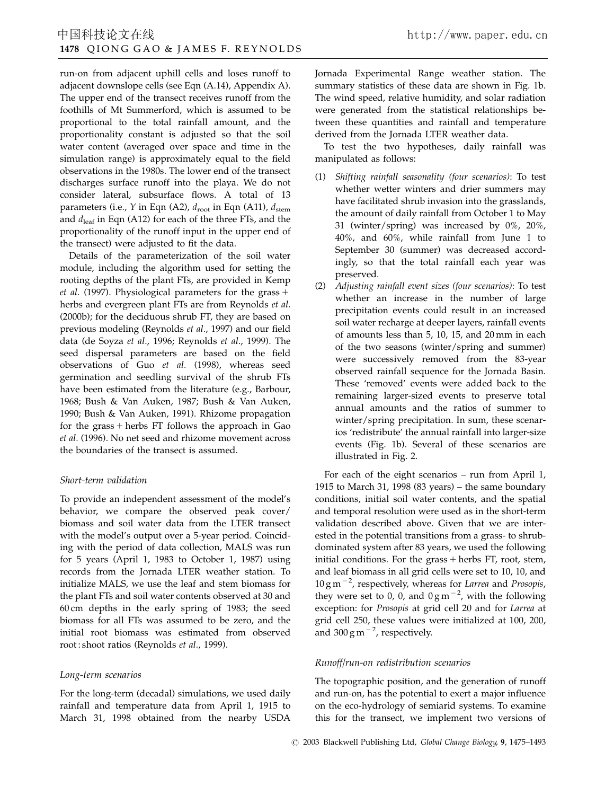run-on from adjacent uphill cells and loses runoff to adjacent downslope cells (see Eqn (A.14), Appendix A). The upper end of the transect receives runoff from the foothills of Mt Summerford, which is assumed to be proportional to the total rainfall amount, and the proportionality constant is adjusted so that the soil water content (averaged over space and time in the simulation range) is approximately equal to the field observations in the 1980s. The lower end of the transect discharges surface runoff into the playa. We do not consider lateral, subsurface flows. A total of 13 parameters (i.e., Y in Eqn (A2),  $d_{\text{root}}$  in Eqn (A11),  $d_{\text{stem}}$ and  $d_{\text{leaf}}$  in Eqn (A12) for each of the three FTs, and the proportionality of the runoff input in the upper end of the transect) were adjusted to fit the data.

Details of the parameterization of the soil water module, including the algorithm used for setting the rooting depths of the plant FTs, are provided in Kemp et al. (1997). Physiological parameters for the grass  $+$ herbs and evergreen plant FTs are from Reynolds et al. (2000b); for the deciduous shrub FT, they are based on previous modeling (Reynolds et al., 1997) and our field data (de Soyza et al., 1996; Reynolds et al., 1999). The seed dispersal parameters are based on the field observations of Guo et al. (1998), whereas seed germination and seedling survival of the shrub FTs have been estimated from the literature (e.g., Barbour, 1968; Bush & Van Auken, 1987; Bush & Van Auken, 1990; Bush & Van Auken, 1991). Rhizome propagation for the grass  $+$  herbs FT follows the approach in Gao et al. (1996). No net seed and rhizome movement across the boundaries of the transect is assumed.

# Short-term validation

To provide an independent assessment of the model's behavior, we compare the observed peak cover/ biomass and soil water data from the LTER transect with the model's output over a 5-year period. Coinciding with the period of data collection, MALS was run for 5 years (April 1, 1983 to October 1, 1987) using records from the Jornada LTER weather station. To initialize MALS, we use the leaf and stem biomass for the plant FTs and soil water contents observed at 30 and 60 cm depths in the early spring of 1983; the seed biomass for all FTs was assumed to be zero, and the initial root biomass was estimated from observed root : shoot ratios (Reynolds et al., 1999).

# Long-term scenarios

For the long-term (decadal) simulations, we used daily rainfall and temperature data from April 1, 1915 to March 31, 1998 obtained from the nearby USDA Jornada Experimental Range weather station. The summary statistics of these data are shown in Fig. 1b. The wind speed, relative humidity, and solar radiation were generated from the statistical relationships between these quantities and rainfall and temperature derived from the Jornada LTER weather data.

To test the two hypotheses, daily rainfall was manipulated as follows:

- (1) Shifting rainfall seasonality (four scenarios): To test whether wetter winters and drier summers may have facilitated shrub invasion into the grasslands, the amount of daily rainfall from October 1 to May 31 (winter/spring) was increased by 0%, 20%, 40%, and 60%, while rainfall from June 1 to September 30 (summer) was decreased accordingly, so that the total rainfall each year was preserved.
- (2) Adjusting rainfall event sizes (four scenarios): To test whether an increase in the number of large precipitation events could result in an increased soil water recharge at deeper layers, rainfall events of amounts less than 5, 10, 15, and 20 mm in each of the two seasons (winter/spring and summer) were successively removed from the 83-year observed rainfall sequence for the Jornada Basin. These 'removed' events were added back to the remaining larger-sized events to preserve total annual amounts and the ratios of summer to winter/spring precipitation. In sum, these scenarios 'redistribute' the annual rainfall into larger-size events (Fig. 1b). Several of these scenarios are illustrated in Fig. 2.

For each of the eight scenarios – run from April 1, 1915 to March 31, 1998 (83 years) – the same boundary conditions, initial soil water contents, and the spatial and temporal resolution were used as in the short-term validation described above. Given that we are interested in the potential transitions from a grass- to shrubdominated system after 83 years, we used the following initial conditions. For the grass  $+$  herbs FT, root, stem, and leaf biomass in all grid cells were set to 10, 10, and  $10 \text{ g m}^{-2}$ , respectively, whereas for Larrea and Prosopis, they were set to 0, 0, and  $0 \text{ g m}^{-2}$ , with the following exception: for Prosopis at grid cell 20 and for Larrea at grid cell 250, these values were initialized at 100, 200, and  $300 \text{ g m}^{-2}$ , respectively.

## Runoff/run-on redistribution scenarios

The topographic position, and the generation of runoff and run-on, has the potential to exert a major influence on the eco-hydrology of semiarid systems. To examine this for the transect, we implement two versions of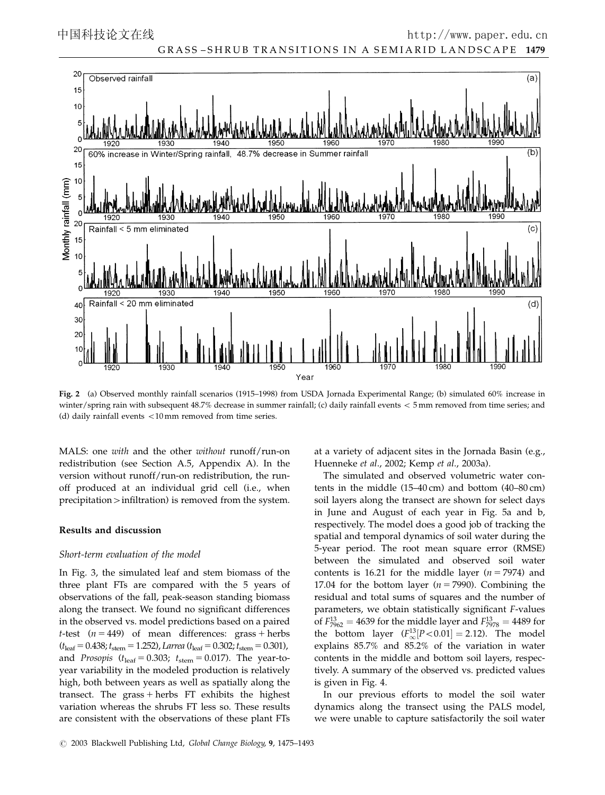

Fig. 2 (a) Observed monthly rainfall scenarios (1915–1998) from USDA Jornada Experimental Range; (b) simulated 60% increase in winter/spring rain with subsequent 48.7% decrease in summer rainfall; (c) daily rainfall events < 5 mm removed from time series; and (d) daily rainfall events  $<$  10 mm removed from time series.

MALS: one with and the other without runoff/run-on redistribution (see Section A.5, Appendix A). In the version without runoff/run-on redistribution, the runoff produced at an individual grid cell (i.e., when  $precription$  infiltration) is removed from the system.

## Results and discussion

## Short-term evaluation of the model

In Fig. 3, the simulated leaf and stem biomass of the three plant FTs are compared with the 5 years of observations of the fall, peak-season standing biomass along the transect. We found no significant differences in the observed vs. model predictions based on a paired *t*-test ( $n = 449$ ) of mean differences: grass + herbs  $(t<sub>leaf</sub>=0.438; t<sub>stem</sub>=1.252)$ , Larrea ( $t<sub>leaf</sub>=0.302; t<sub>stem</sub>=0.301)$ , and *Prosopis* ( $t_{\text{leaf}} = 0.303$ ;  $t_{\text{stem}} = 0.017$ ). The year-toyear variability in the modeled production is relatively high, both between years as well as spatially along the transect. The grass  $+$  herbs FT exhibits the highest variation whereas the shrubs FT less so. These results are consistent with the observations of these plant FTs

at a variety of adjacent sites in the Jornada Basin (e.g., Huenneke et al., 2002; Kemp et al., 2003a).

The simulated and observed volumetric water contents in the middle (15–40 cm) and bottom (40–80 cm) soil layers along the transect are shown for select days in June and August of each year in Fig. 5a and b, respectively. The model does a good job of tracking the spatial and temporal dynamics of soil water during the 5-year period. The root mean square error (RMSE) between the simulated and observed soil water contents is 16.21 for the middle layer ( $n = 7974$ ) and 17.04 for the bottom layer ( $n = 7990$ ). Combining the residual and total sums of squares and the number of parameters, we obtain statistically significant F-values of  $F_{7962}^{13} = 4639$  for the middle layer and  $F_{7978}^{13} = 4489$  for the bottom layer  $(F_{\infty}^{13}[P<0.01] = 2.12)$ . The model explains 85.7% and 85.2% of the variation in water contents in the middle and bottom soil layers, respectively. A summary of the observed vs. predicted values is given in Fig. 4.

In our previous efforts to model the soil water dynamics along the transect using the PALS model, we were unable to capture satisfactorily the soil water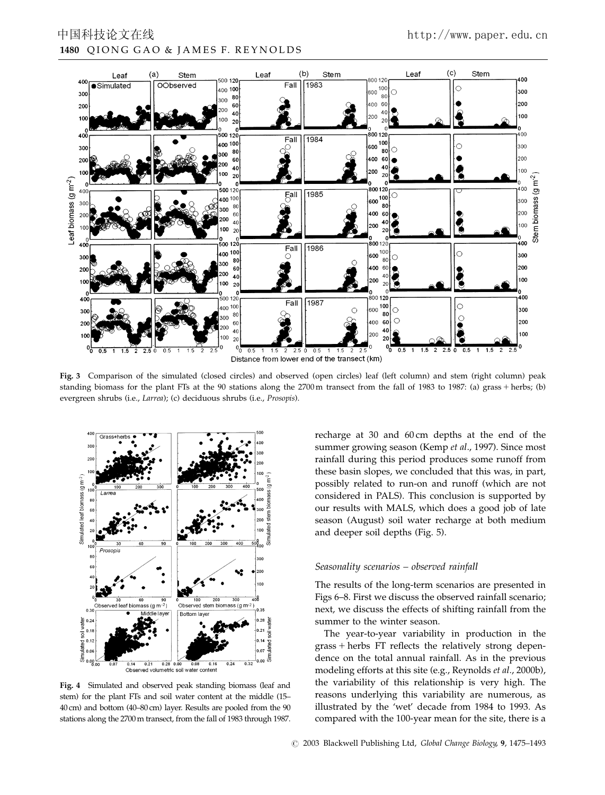

Fig. 3 Comparison of the simulated (closed circles) and observed (open circles) leaf (left column) and stem (right column) peak standing biomass for the plant FTs at the 90 stations along the 2700 m transect from the fall of 1983 to 1987: (a) grass + herbs; (b) evergreen shrubs (i.e., Larrea); (c) deciduous shrubs (i.e., Prosopis).



Fig. 4 Simulated and observed peak standing biomass (leaf and stem) for the plant FTs and soil water content at the middle (15– 40 cm) and bottom (40–80 cm) layer. Results are pooled from the 90 stations along the 2700m transect, from the fall of 1983 through 1987.

recharge at 30 and 60 cm depths at the end of the summer growing season (Kemp et al., 1997). Since most rainfall during this period produces some runoff from these basin slopes, we concluded that this was, in part, possibly related to run-on and runoff (which are not considered in PALS). This conclusion is supported by our results with MALS, which does a good job of late season (August) soil water recharge at both medium and deeper soil depths (Fig. 5).

#### Seasonality scenarios – observed rainfall

The results of the long-term scenarios are presented in Figs 6–8. First we discuss the observed rainfall scenario; next, we discuss the effects of shifting rainfall from the summer to the winter season.

The year-to-year variability in production in the  $grass + herbs$  FT reflects the relatively strong dependence on the total annual rainfall. As in the previous modeling efforts at this site (e.g., Reynolds et al., 2000b), the variability of this relationship is very high. The reasons underlying this variability are numerous, as illustrated by the 'wet' decade from 1984 to 1993. As compared with the 100-year mean for the site, there is a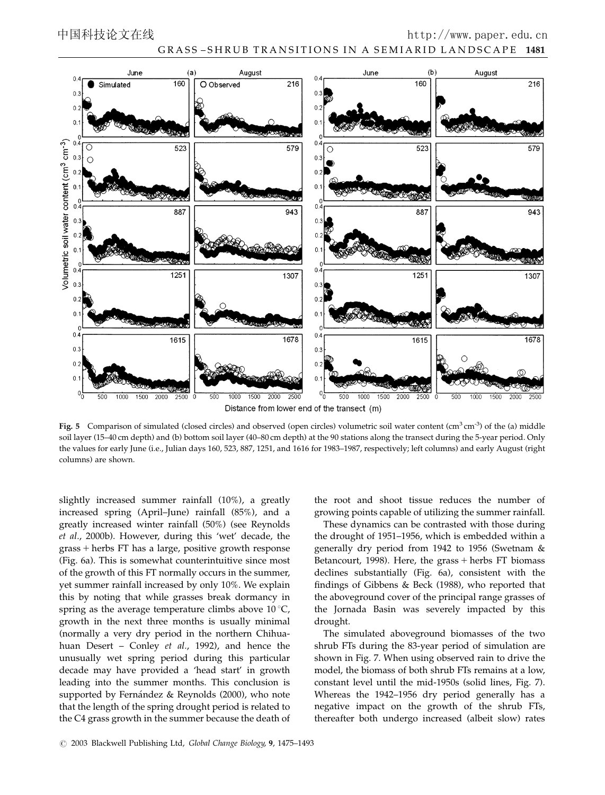

Distance from lower end of the transect (m)

Fig. 5 Comparison of simulated (closed circles) and observed (open circles) volumetric soil water content  $(cm<sup>3</sup> cm<sup>-3</sup>)$  of the (a) middle soil layer (15–40 cm depth) and (b) bottom soil layer (40–80 cm depth) at the 90 stations along the transect during the 5-year period. Only the values for early June (i.e., Julian days 160, 523, 887, 1251, and 1616 for 1983–1987, respectively; left columns) and early August (right columns) are shown.

slightly increased summer rainfall (10%), a greatly increased spring (April–June) rainfall (85%), and a greatly increased winter rainfall (50%) (see Reynolds et al., 2000b). However, during this 'wet' decade, the grass + herbs FT has a large, positive growth response (Fig. 6a). This is somewhat counterintuitive since most of the growth of this FT normally occurs in the summer, yet summer rainfall increased by only 10%. We explain this by noting that while grasses break dormancy in spring as the average temperature climbs above  $10^{\circ}$ C, growth in the next three months is usually minimal (normally a very dry period in the northern Chihuahuan Desert – Conley et al., 1992), and hence the unusually wet spring period during this particular decade may have provided a 'head start' in growth leading into the summer months. This conclusion is supported by Fernández & Reynolds (2000), who note that the length of the spring drought period is related to the C4 grass growth in the summer because the death of the root and shoot tissue reduces the number of growing points capable of utilizing the summer rainfall.

These dynamics can be contrasted with those during the drought of 1951–1956, which is embedded within a generally dry period from 1942 to 1956 (Swetnam & Betancourt, 1998). Here, the grass  $+$  herbs FT biomass declines substantially (Fig. 6a), consistent with the findings of Gibbens & Beck (1988), who reported that the aboveground cover of the principal range grasses of the Jornada Basin was severely impacted by this drought.

The simulated aboveground biomasses of the two shrub FTs during the 83-year period of simulation are shown in Fig. 7. When using observed rain to drive the model, the biomass of both shrub FTs remains at a low, constant level until the mid-1950s (solid lines, Fig. 7). Whereas the 1942–1956 dry period generally has a negative impact on the growth of the shrub FTs, thereafter both undergo increased (albeit slow) rates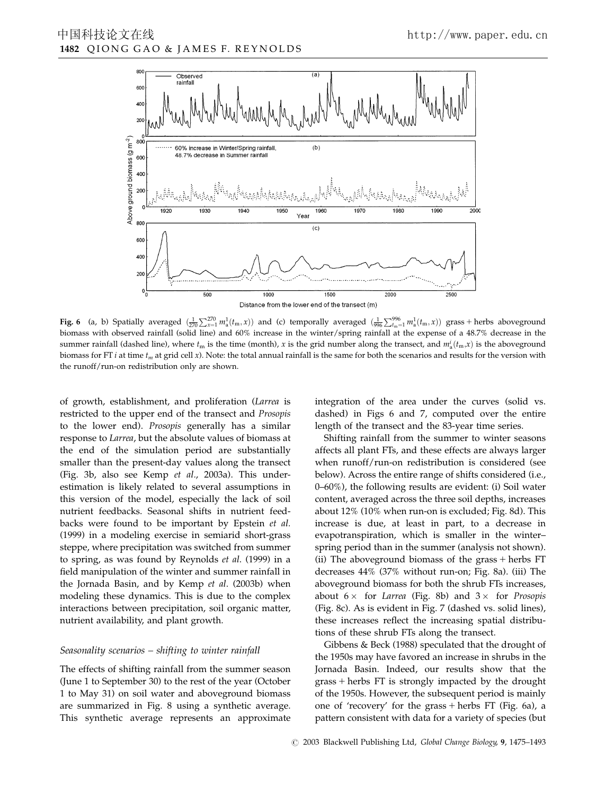

**Fig. 6** (a, b) Spatially averaged  $\left(\frac{1}{270}\sum_{x=1}^{270}m_a^1(t_m,x)\right)$  and (c) temporally averaged  $\left(\frac{1}{996}\sum_{t_m=1}^{996}m_a^1(t_m,x)\right)$  grass + herbs aboveground biomass with observed rainfall (solid line) and 60% increase in the winter/spring rainfall at the expense of a 48.7% decrease in the summer rainfall (dashed line), where  $t_m$  is the time (month), x is the grid number along the transect, and  $m^i_a(t_m,x)$  is the aboveground biomass for FT *i* at time  $t_m$  at grid cell x). Note: the total annual rainfall is the same for both the scenarios and results for the version with the runoff/run-on redistribution only are shown.

of growth, establishment, and proliferation (Larrea is restricted to the upper end of the transect and Prosopis to the lower end). Prosopis generally has a similar response to Larrea, but the absolute values of biomass at the end of the simulation period are substantially smaller than the present-day values along the transect (Fig. 3b, also see Kemp et al., 2003a). This underestimation is likely related to several assumptions in this version of the model, especially the lack of soil nutrient feedbacks. Seasonal shifts in nutrient feedbacks were found to be important by Epstein et al. (1999) in a modeling exercise in semiarid short-grass steppe, where precipitation was switched from summer to spring, as was found by Reynolds et al. (1999) in a field manipulation of the winter and summer rainfall in the Jornada Basin, and by Kemp et al. (2003b) when modeling these dynamics. This is due to the complex interactions between precipitation, soil organic matter, nutrient availability, and plant growth.

#### Seasonality scenarios – shifting to winter rainfall

The effects of shifting rainfall from the summer season (June 1 to September 30) to the rest of the year (October 1 to May 31) on soil water and aboveground biomass are summarized in Fig. 8 using a synthetic average. This synthetic average represents an approximate integration of the area under the curves (solid vs. dashed) in Figs 6 and 7, computed over the entire length of the transect and the 83-year time series.

Shifting rainfall from the summer to winter seasons affects all plant FTs, and these effects are always larger when runoff/run-on redistribution is considered (see below). Across the entire range of shifts considered (i.e., 0–60%), the following results are evident: (i) Soil water content, averaged across the three soil depths, increases about 12% (10% when run-on is excluded; Fig. 8d). This increase is due, at least in part, to a decrease in evapotranspiration, which is smaller in the winter– spring period than in the summer (analysis not shown). (ii) The aboveground biomass of the grass  $+$  herbs FT decreases 44% (37% without run-on; Fig. 8a). (iii) The aboveground biomass for both the shrub FTs increases, about  $6 \times$  for Larrea (Fig. 8b) and  $3 \times$  for Prosopis (Fig. 8c). As is evident in Fig. 7 (dashed vs. solid lines), these increases reflect the increasing spatial distributions of these shrub FTs along the transect.

Gibbens & Beck (1988) speculated that the drought of the 1950s may have favored an increase in shrubs in the Jornada Basin. Indeed, our results show that the  $grass + herbs FT$  is strongly impacted by the drought of the 1950s. However, the subsequent period is mainly one of 'recovery' for the grass  $+$  herbs FT (Fig. 6a), a pattern consistent with data for a variety of species (but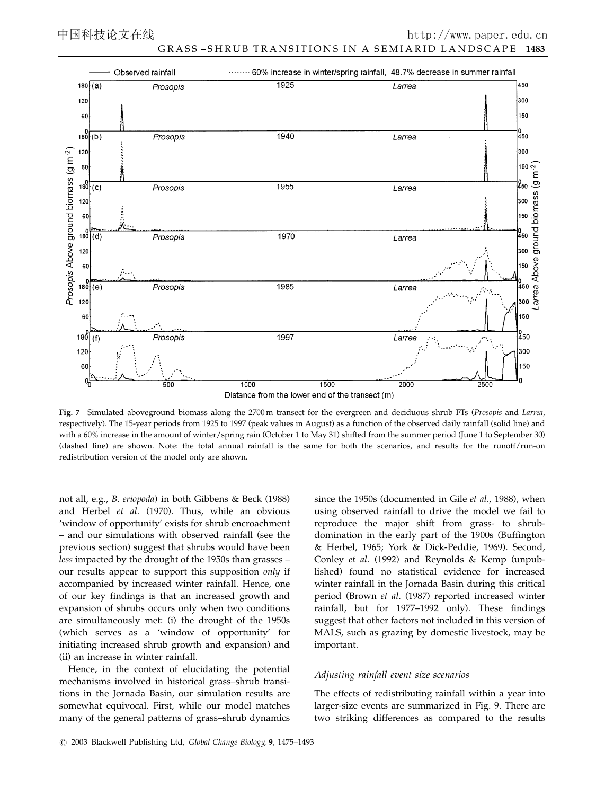

Fig. 7 Simulated aboveground biomass along the 2700 m transect for the evergreen and deciduous shrub FTs (Prosopis and Larrea, respectively). The 15-year periods from 1925 to 1997 (peak values in August) as a function of the observed daily rainfall (solid line) and with a 60% increase in the amount of winter/spring rain (October 1 to May 31) shifted from the summer period (June 1 to September 30) (dashed line) are shown. Note: the total annual rainfall is the same for both the scenarios, and results for the runoff/run-on redistribution version of the model only are shown.

not all, e.g., B. eriopoda) in both Gibbens & Beck (1988) and Herbel et al. (1970). Thus, while an obvious 'window of opportunity' exists for shrub encroachment – and our simulations with observed rainfall (see the previous section) suggest that shrubs would have been less impacted by the drought of the 1950s than grasses – our results appear to support this supposition only if accompanied by increased winter rainfall. Hence, one of our key findings is that an increased growth and expansion of shrubs occurs only when two conditions are simultaneously met: (i) the drought of the 1950s (which serves as a 'window of opportunity' for initiating increased shrub growth and expansion) and (ii) an increase in winter rainfall.

Hence, in the context of elucidating the potential mechanisms involved in historical grass–shrub transitions in the Jornada Basin, our simulation results are somewhat equivocal. First, while our model matches many of the general patterns of grass–shrub dynamics

since the 1950s (documented in Gile et al., 1988), when using observed rainfall to drive the model we fail to reproduce the major shift from grass- to shrubdomination in the early part of the 1900s (Buffington & Herbel, 1965; York & Dick-Peddie, 1969). Second, Conley et al. (1992) and Reynolds & Kemp (unpublished) found no statistical evidence for increased winter rainfall in the Jornada Basin during this critical period (Brown et al. (1987) reported increased winter rainfall, but for 1977–1992 only). These findings suggest that other factors not included in this version of MALS, such as grazing by domestic livestock, may be important.

#### Adjusting rainfall event size scenarios

The effects of redistributing rainfall within a year into larger-size events are summarized in Fig. 9. There are two striking differences as compared to the results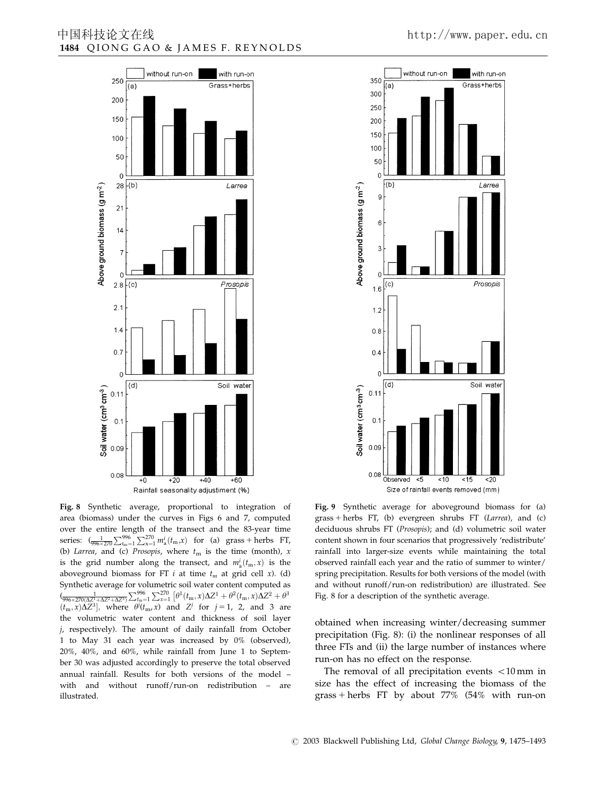

Fig. 8 Synthetic average, proportional to integration of area (biomass) under the curves in Figs 6 and 7, computed over the entire length of the transect and the 83-year time series:  $\int_{\frac{1}{996 \times 270}} \sum_{t_m=1}^{996} \sum_{x=1}^{270} m_a^i(t_m, x)$  for (a) grass + herbs FT, (b) Larrea, and (c) Prosopis, where  $t<sub>m</sub>$  is the time (month), x is the grid number along the transect, and  $m_a^i(t_m, x)$  is the aboveground biomass for FT i at time  $t_m$  at grid cell x). (d) Synthetic average for volumetric soil water content computed as  $\frac{1}{(\sqrt{996 \times 270(\Delta Z^1 + \Delta Z^2 + \Delta Z^3)}} \sum_{m=1}^{996} \sum_{x=1}^{270} \left[ \theta^1(t_m, x) \Delta Z^1 + \theta^2(t_m, x) \Delta Z^2 + \theta^3 \right]$  $(t_m, x)\Delta Z^3$ , where  $\theta^j(t_m, x)$  and  $Z^j$  for  $j = 1, 2,$  and 3 are the volumetric water content and thickness of soil layer j, respectively). The amount of daily rainfall from October 1 to May 31 each year was increased by 0% (observed), 20%, 40%, and 60%, while rainfall from June 1 to September 30 was adjusted accordingly to preserve the total observed annual rainfall. Results for both versions of the model – with and without runoff/run-on redistribution – are illustrated.



Fig. 9 Synthetic average for aboveground biomass for (a)  $grass + herbs$  FT, (b) evergreen shrubs FT (Larrea), and (c) deciduous shrubs FT (Prosopis); and (d) volumetric soil water content shown in four scenarios that progressively 'redistribute' rainfall into larger-size events while maintaining the total observed rainfall each year and the ratio of summer to winter/ spring precipitation. Results for both versions of the model (with and without runoff/run-on redistribution) are illustrated. See Fig. 8 for a description of the synthetic average.

obtained when increasing winter/decreasing summer precipitation (Fig. 8): (i) the nonlinear responses of all three FTs and (ii) the large number of instances where run-on has no effect on the response.

The removal of all precipitation events  $<$  10 mm in size has the effect of increasing the biomass of the grass + herbs FT by about  $77\%$  (54% with run-on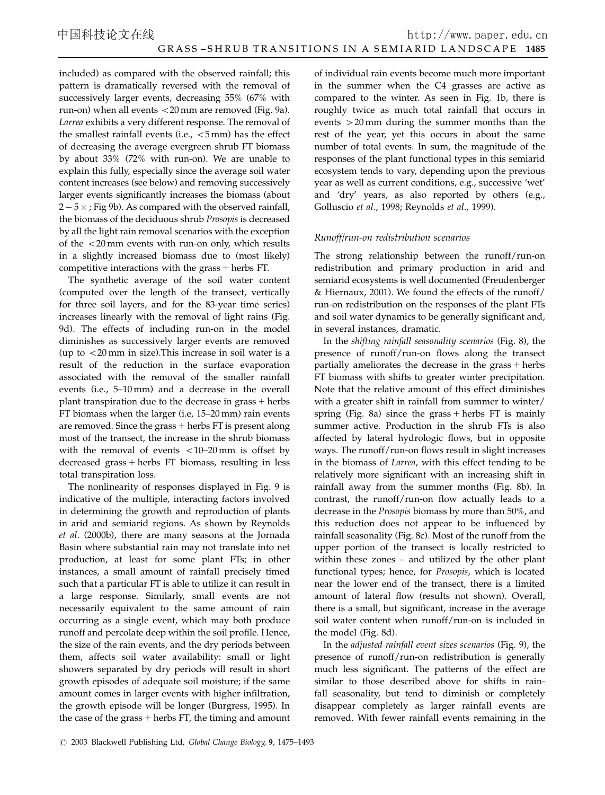included) as compared with the observed rainfall; this pattern is dramatically reversed with the removal of successively larger events, decreasing 55% (67% with run-on) when all events  $<$  20 mm are removed (Fig. 9a). Larrea exhibits a very different response. The removal of the smallest rainfall events (i.e.,  $<$  5 mm) has the effect of decreasing the average evergreen shrub FT biomass by about 33% (72% with run-on). We are unable to explain this fully, especially since the average soil water content increases (see below) and removing successively larger events significantly increases the biomass (about 2 – 5  $\times$  ; Fig 9b). As compared with the observed rainfall, the biomass of the deciduous shrub Prosopis is decreased by all the light rain removal scenarios with the exception of the  $<$  20 mm events with run-on only, which results in a slightly increased biomass due to (most likely) competitive interactions with the grass  $+$  herbs FT.

The synthetic average of the soil water content (computed over the length of the transect, vertically for three soil layers, and for the 83-year time series) increases linearly with the removal of light rains (Fig. 9d). The effects of including run-on in the model diminishes as successively larger events are removed (up to  $<$  20 mm in size). This increase in soil water is a result of the reduction in the surface evaporation associated with the removal of the smaller rainfall events (i.e., 5–10 mm) and a decrease in the overall plant transpiration due to the decrease in grass  $+$  herbs FT biomass when the larger (i.e, 15–20 mm) rain events are removed. Since the grass  $+$  herbs FT is present along most of the transect, the increase in the shrub biomass with the removal of events  $<$  10–20 mm is offset by decreased grass  $+$  herbs FT biomass, resulting in less total transpiration loss.

The nonlinearity of responses displayed in Fig. 9 is indicative of the multiple, interacting factors involved in determining the growth and reproduction of plants in arid and semiarid regions. As shown by Reynolds et al. (2000b), there are many seasons at the Jornada Basin where substantial rain may not translate into net production, at least for some plant FTs; in other instances, a small amount of rainfall precisely timed such that a particular FT is able to utilize it can result in a large response. Similarly, small events are not necessarily equivalent to the same amount of rain occurring as a single event, which may both produce runoff and percolate deep within the soil profile. Hence, the size of the rain events, and the dry periods between them, affects soil water availability: small or light showers separated by dry periods will result in short growth episodes of adequate soil moisture; if the same amount comes in larger events with higher infiltration, the growth episode will be longer (Burgress, 1995). In the case of the grass  $+$  herbs FT, the timing and amount

of individual rain events become much more important in the summer when the C4 grasses are active as compared to the winter. As seen in Fig. 1b, there is roughly twice as much total rainfall that occurs in events  $>20$  mm during the summer months than the rest of the year, yet this occurs in about the same number of total events. In sum, the magnitude of the responses of the plant functional types in this semiarid ecosystem tends to vary, depending upon the previous year as well as current conditions, e.g., successive 'wet' and 'dry' years, as also reported by others (e.g., Golluscio et al., 1998; Reynolds et al., 1999).

# Runoff/run-on redistribution scenarios

The strong relationship between the runoff/run-on redistribution and primary production in arid and semiarid ecosystems is well documented (Freudenberger & Hiernaux, 2001). We found the effects of the runoff/ run-on redistribution on the responses of the plant FTs and soil water dynamics to be generally significant and, in several instances, dramatic.

In the shifting rainfall seasonality scenarios (Fig. 8), the presence of runoff/run-on flows along the transect partially ameliorates the decrease in the grass  $+$  herbs FT biomass with shifts to greater winter precipitation. Note that the relative amount of this effect diminishes with a greater shift in rainfall from summer to winter/ spring (Fig. 8a) since the grass  $+$  herbs FT is mainly summer active. Production in the shrub FTs is also affected by lateral hydrologic flows, but in opposite ways. The runoff/run-on flows result in slight increases in the biomass of Larrea, with this effect tending to be relatively more significant with an increasing shift in rainfall away from the summer months (Fig. 8b). In contrast, the runoff/run-on flow actually leads to a decrease in the Prosopis biomass by more than 50%, and this reduction does not appear to be influenced by rainfall seasonality (Fig. 8c). Most of the runoff from the upper portion of the transect is locally restricted to within these zones – and utilized by the other plant functional types; hence, for Prosopis, which is located near the lower end of the transect, there is a limited amount of lateral flow (results not shown). Overall, there is a small, but significant, increase in the average soil water content when runoff/run-on is included in the model (Fig. 8d).

In the adjusted rainfall event sizes scenarios (Fig. 9), the presence of runoff/run-on redistribution is generally much less significant. The patterns of the effect are similar to those described above for shifts in rainfall seasonality, but tend to diminish or completely disappear completely as larger rainfall events are removed. With fewer rainfall events remaining in the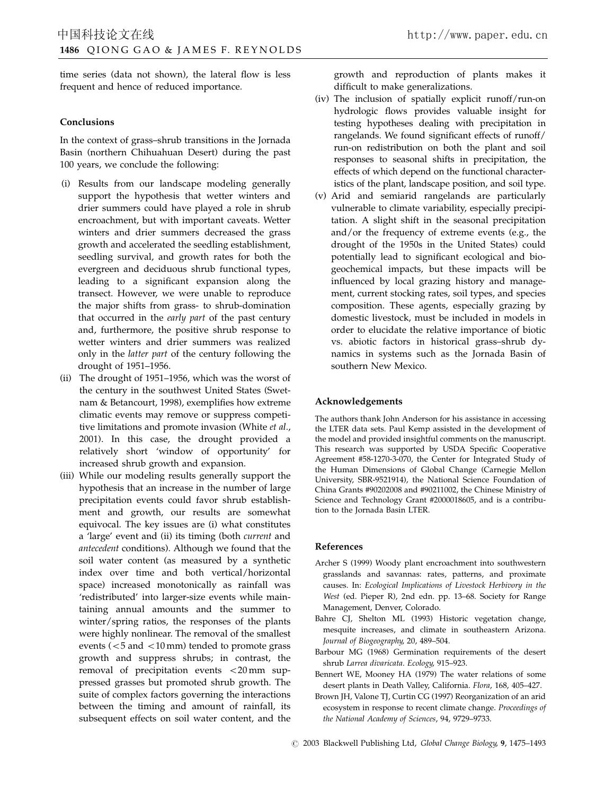time series (data not shown), the lateral flow is less frequent and hence of reduced importance.

## Conclusions

In the context of grass–shrub transitions in the Jornada Basin (northern Chihuahuan Desert) during the past 100 years, we conclude the following:

- (i) Results from our landscape modeling generally support the hypothesis that wetter winters and drier summers could have played a role in shrub encroachment, but with important caveats. Wetter winters and drier summers decreased the grass growth and accelerated the seedling establishment, seedling survival, and growth rates for both the evergreen and deciduous shrub functional types, leading to a significant expansion along the transect. However, we were unable to reproduce the major shifts from grass- to shrub-domination that occurred in the early part of the past century and, furthermore, the positive shrub response to wetter winters and drier summers was realized only in the latter part of the century following the drought of 1951–1956.
- (ii) The drought of 1951–1956, which was the worst of the century in the southwest United States (Swetnam & Betancourt, 1998), exemplifies how extreme climatic events may remove or suppress competitive limitations and promote invasion (White et al., 2001). In this case, the drought provided a relatively short 'window of opportunity' for increased shrub growth and expansion.
- (iii) While our modeling results generally support the hypothesis that an increase in the number of large precipitation events could favor shrub establishment and growth, our results are somewhat equivocal. The key issues are (i) what constitutes a 'large' event and (ii) its timing (both current and antecedent conditions). Although we found that the soil water content (as measured by a synthetic index over time and both vertical/horizontal space) increased monotonically as rainfall was 'redistributed' into larger-size events while maintaining annual amounts and the summer to winter/spring ratios, the responses of the plants were highly nonlinear. The removal of the smallest events ( $<$  5 and  $<$  10 mm) tended to promote grass growth and suppress shrubs; in contrast, the removal of precipitation events  $<$  20 mm suppressed grasses but promoted shrub growth. The suite of complex factors governing the interactions between the timing and amount of rainfall, its subsequent effects on soil water content, and the

growth and reproduction of plants makes it difficult to make generalizations.

- (iv) The inclusion of spatially explicit runoff/run-on hydrologic flows provides valuable insight for testing hypotheses dealing with precipitation in rangelands. We found significant effects of runoff/ run-on redistribution on both the plant and soil responses to seasonal shifts in precipitation, the effects of which depend on the functional characteristics of the plant, landscape position, and soil type.
- (v) Arid and semiarid rangelands are particularly vulnerable to climate variability, especially precipitation. A slight shift in the seasonal precipitation and/or the frequency of extreme events (e.g., the drought of the 1950s in the United States) could potentially lead to significant ecological and biogeochemical impacts, but these impacts will be influenced by local grazing history and management, current stocking rates, soil types, and species composition. These agents, especially grazing by domestic livestock, must be included in models in order to elucidate the relative importance of biotic vs. abiotic factors in historical grass–shrub dynamics in systems such as the Jornada Basin of southern New Mexico.

## Acknowledgements

The authors thank John Anderson for his assistance in accessing the LTER data sets. Paul Kemp assisted in the development of the model and provided insightful comments on the manuscript. This research was supported by USDA Specific Cooperative Agreement #58-1270-3-070, the Center for Integrated Study of the Human Dimensions of Global Change (Carnegie Mellon University, SBR-9521914), the National Science Foundation of China Grants #90202008 and #90211002, the Chinese Ministry of Science and Technology Grant #2000018605, and is a contribution to the Jornada Basin LTER.

# References

- Archer S (1999) Woody plant encroachment into southwestern grasslands and savannas: rates, patterns, and proximate causes. In: Ecological Implications of Livestock Herbivory in the West (ed. Pieper R), 2nd edn. pp. 13–68. Society for Range Management, Denver, Colorado.
- Bahre CJ, Shelton ML (1993) Historic vegetation change, mesquite increases, and climate in southeastern Arizona. Journal of Biogeography, 20, 489–504.
- Barbour MG (1968) Germination requirements of the desert shrub Larrea divaricata. Ecology, 915–923.
- Bennert WE, Mooney HA (1979) The water relations of some desert plants in Death Valley, California. Flora, 168, 405–427.
- Brown JH, Valone TJ, Curtin CG (1997) Reorganization of an arid ecosystem in response to recent climate change. Proceedings of the National Academy of Sciences, 94, 9729–9733.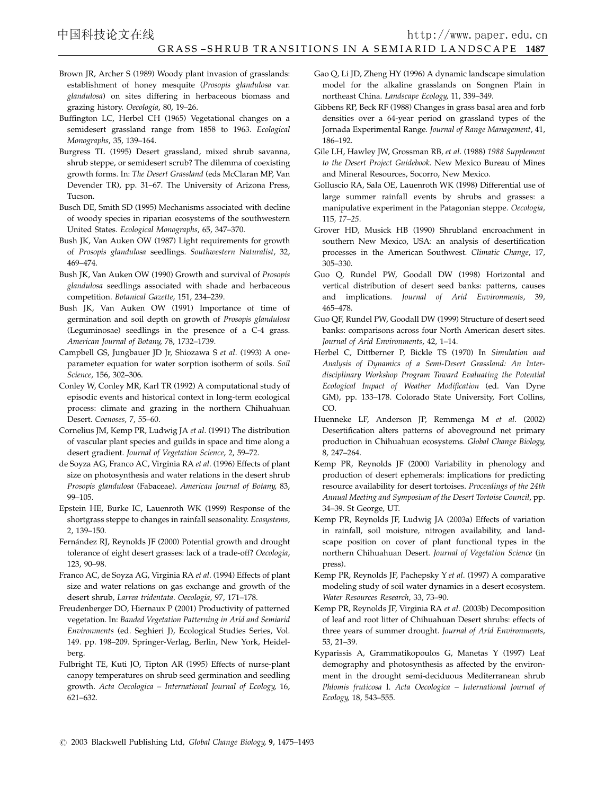- Brown JR, Archer S (1989) Woody plant invasion of grasslands: establishment of honey mesquite (Prosopis glandulosa var. glandulosa) on sites differing in herbaceous biomass and grazing history. Oecologia, 80, 19–26.
- Buffington LC, Herbel CH (1965) Vegetational changes on a semidesert grassland range from 1858 to 1963. Ecological Monographs, 35, 139–164.
- Burgress TL (1995) Desert grassland, mixed shrub savanna, shrub steppe, or semidesert scrub? The dilemma of coexisting growth forms. In: The Desert Grassland (eds McClaran MP, Van Devender TR), pp. 31–67. The University of Arizona Press, Tucson.
- Busch DE, Smith SD (1995) Mechanisms associated with decline of woody species in riparian ecosystems of the southwestern United States. Ecological Monographs, 65, 347–370.
- Bush JK, Van Auken OW (1987) Light requirements for growth of Prosopis glandulosa seedlings. Southwestern Naturalist, 32, 469–474.
- Bush JK, Van Auken OW (1990) Growth and survival of Prosopis glandulosa seedlings associated with shade and herbaceous competition. Botanical Gazette, 151, 234–239.
- Bush JK, Van Auken OW (1991) Importance of time of germination and soil depth on growth of Prosopis glandulosa (Leguminosae) seedlings in the presence of a C-4 grass. American Journal of Botany, 78, 1732–1739.
- Campbell GS, Jungbauer JD Jr, Shiozawa S et al. (1993) A oneparameter equation for water sorption isotherm of soils. Soil Science, 156, 302–306.
- Conley W, Conley MR, Karl TR (1992) A computational study of episodic events and historical context in long-term ecological process: climate and grazing in the northern Chihuahuan Desert. Coenoses, 7, 55–60.
- Cornelius JM, Kemp PR, Ludwig JA et al. (1991) The distribution of vascular plant species and guilds in space and time along a desert gradient. Journal of Vegetation Science, 2, 59–72.
- de Soyza AG, Franco AC, Virginia RA et al. (1996) Effects of plant size on photosynthesis and water relations in the desert shrub Prosopis glandulosa (Fabaceae). American Journal of Botany, 83, 99–105.
- Epstein HE, Burke IC, Lauenroth WK (1999) Response of the shortgrass steppe to changes in rainfall seasonality. Ecosystems, 2, 139–150.
- Fernández RJ, Reynolds JF (2000) Potential growth and drought tolerance of eight desert grasses: lack of a trade-off? Oecologia, 123, 90–98.
- Franco AC, de Soyza AG, Virginia RA et al. (1994) Effects of plant size and water relations on gas exchange and growth of the desert shrub, Larrea tridentata. Oecologia, 97, 171–178.
- Freudenberger DO, Hiernaux P (2001) Productivity of patterned vegetation. In: Banded Vegetation Patterning in Arid and Semiarid Environments (ed. Seghieri J), Ecological Studies Series, Vol. 149. pp. 198–209. Springer-Verlag, Berlin, New York, Heidelberg.
- Fulbright TE, Kuti JO, Tipton AR (1995) Effects of nurse-plant canopy temperatures on shrub seed germination and seedling growth. Acta Oecologica – International Journal of Ecology, 16, 621–632.
- Gao Q, Li JD, Zheng HY (1996) A dynamic landscape simulation model for the alkaline grasslands on Songnen Plain in northeast China. Landscape Ecology, 11, 339–349.
- Gibbens RP, Beck RF (1988) Changes in grass basal area and forb densities over a 64-year period on grassland types of the Jornada Experimental Range. Journal of Range Management, 41, 186–192.
- Gile LH, Hawley JW, Grossman RB, et al. (1988) 1988 Supplement to the Desert Project Guidebook. New Mexico Bureau of Mines and Mineral Resources, Socorro, New Mexico.
- Golluscio RA, Sala OE, Lauenroth WK (1998) Differential use of large summer rainfall events by shrubs and grasses: a manipulative experiment in the Patagonian steppe. Oecologia, 115, 17–25.
- Grover HD, Musick HB (1990) Shrubland encroachment in southern New Mexico, USA: an analysis of desertification processes in the American Southwest. Climatic Change, 17, 305–330.
- Guo Q, Rundel PW, Goodall DW (1998) Horizontal and vertical distribution of desert seed banks: patterns, causes and implications. Journal of Arid Environments, 39, 465–478.
- Guo QF, Rundel PW, Goodall DW (1999) Structure of desert seed banks: comparisons across four North American desert sites. Journal of Arid Environments, 42, 1–14.
- Herbel C, Dittberner P, Bickle TS (1970) In Simulation and Analysis of Dynamics of a Semi-Desert Grassland: An Interdisciplinary Workshop Program Toward Evaluating the Potential Ecological Impact of Weather Modification (ed. Van Dyne GM), pp. 133–178. Colorado State University, Fort Collins, CO.
- Huenneke LF, Anderson JP, Remmenga M et al. (2002) Desertification alters patterns of aboveground net primary production in Chihuahuan ecosystems. Global Change Biology, 8, 247–264.
- Kemp PR, Reynolds JF (2000) Variability in phenology and production of desert ephemerals: implications for predicting resource availability for desert tortoises. Proceedings of the 24th Annual Meeting and Symposium of the Desert Tortoise Council, pp. 34–39. St George, UT.
- Kemp PR, Reynolds JF, Ludwig JA (2003a) Effects of variation in rainfall, soil moisture, nitrogen availability, and landscape position on cover of plant functional types in the northern Chihuahuan Desert. Journal of Vegetation Science (in press).
- Kemp PR, Reynolds JF, Pachepsky Y et al. (1997) A comparative modeling study of soil water dynamics in a desert ecosystem. Water Resources Research, 33, 73–90.
- Kemp PR, Reynolds JF, Virginia RA et al. (2003b) Decomposition of leaf and root litter of Chihuahuan Desert shrubs: effects of three years of summer drought. Journal of Arid Environments, 53, 21–39.
- Kyparissis A, Grammatikopoulos G, Manetas Y (1997) Leaf demography and photosynthesis as affected by the environment in the drought semi-deciduous Mediterranean shrub Phlomis fruticosa l. Acta Oecologica – International Journal of Ecology, 18, 543–555.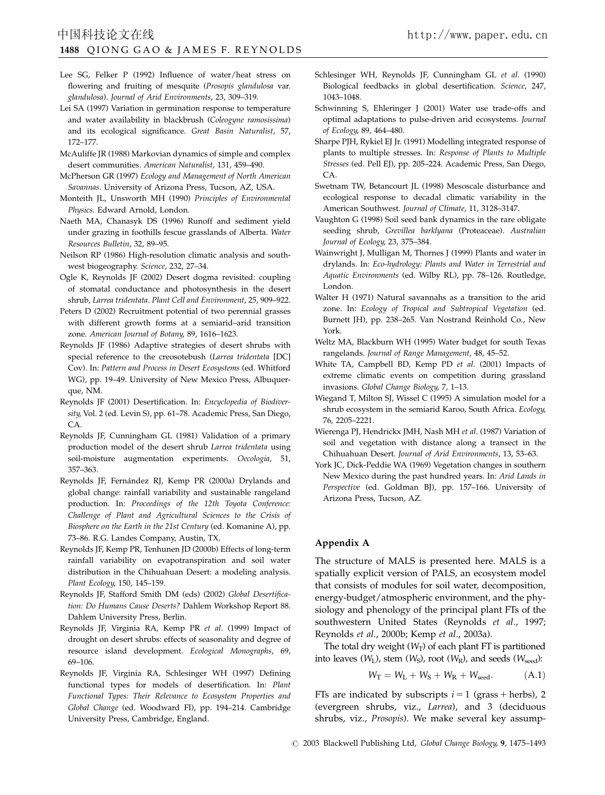- Lee SG, Felker P (1992) Influence of water/heat stress on flowering and fruiting of mesquite (Prosopis glandulosa var. glandulosa). Journal of Arid Environments, 23, 309–319.
- Lei SA (1997) Variation in germination response to temperature and water availability in blackbrush (Coleogyne ramosissima) and its ecological significance. Great Basin Naturalist, 57, 172–177.
- McAuliffe JR (1988) Markovian dynamics of simple and complex desert communities. American Naturalist, 131, 459–490.
- McPherson GR (1997) Ecology and Management of North American Savannas. University of Arizona Press, Tucson, AZ, USA.
- Monteith JL, Unsworth MH (1990) Principles of Environmental Physics. Edward Arnold, London.
- Naeth MA, Chanasyk DS (1996) Runoff and sediment yield under grazing in foothills fescue grasslands of Alberta. Water Resources Bulletin, 32, 89–95.
- Neilson RP (1986) High-resolution climatic analysis and southwest biogeography. Science, 232, 27–34.
- Ogle K, Reynolds JF (2002) Desert dogma revisited: coupling of stomatal conductance and photosynthesis in the desert shrub, Larrea tridentata. Plant Cell and Environment, 25, 909–922.
- Peters D (2002) Recruitment potential of two perennial grasses with different growth forms at a semiarid–arid transition zone. American Journal of Botany, 89, 1616–1623.
- Reynolds JF (1986) Adaptive strategies of desert shrubs with special reference to the creosotebush (Larrea tridentata [DC] Cov). In: Pattern and Process in Desert Ecosystems (ed. Whitford WG), pp. 19–49. University of New Mexico Press, Albuquerque, NM.
- Reynolds JF (2001) Desertification. In: Encyclopedia of Biodiversity, Vol. 2 (ed. Levin S), pp. 61–78. Academic Press, San Diego, CA.
- Reynolds JF, Cunningham GL (1981) Validation of a primary production model of the desert shrub Larrea tridentata using soil-moisture augmentation experiments. Oecologia, 51, 357–363.
- Reynolds JF, Fernández RJ, Kemp PR (2000a) Drylands and global change: rainfall variability and sustainable rangeland production. In: Proceedings of the 12th Toyota Conference: Challenge of Plant and Agricultural Sciences to the Crisis of Biosphere on the Earth in the 21st Century (ed. Komanine A), pp. 73–86. R.G. Landes Company, Austin, TX.
- Reynolds JF, Kemp PR, Tenhunen JD (2000b) Effects of long-term rainfall variability on evapotranspiration and soil water distribution in the Chihuahuan Desert: a modeling analysis. Plant Ecology, 150, 145–159.
- Reynolds JF, Stafford Smith DM (eds) (2002) Global Desertification: Do Humans Cause Deserts? Dahlem Workshop Report 88. Dahlem University Press, Berlin.
- Reynolds JF, Virginia RA, Kemp PR et al. (1999) Impact of drought on desert shrubs: effects of seasonality and degree of resource island development. Ecological Monographs, 69, 69–106.
- Reynolds JF, Virginia RA, Schlesinger WH (1997) Defining functional types for models of desertification. In: Plant Functional Types: Their Relevance to Ecosystem Properties and Global Change (ed. Woodward FI), pp. 194–214. Cambridge University Press, Cambridge, England.
- Schlesinger WH, Reynolds JF, Cunningham GL et al. (1990) Biological feedbacks in global desertification. Science, 247, 1043–1048.
- Schwinning S, Ehleringer J (2001) Water use trade-offs and optimal adaptations to pulse-driven arid ecosystems. Journal of Ecology, 89, 464–480.
- Sharpe PJH, Rykiel EJ Jr. (1991) Modelling integrated response of plants to multiple stresses. In: Response of Plants to Multiple Stresses (ed. Pell EJ), pp. 205–224. Academic Press, San Diego, CA.
- Swetnam TW, Betancourt JL (1998) Mesoscale disturbance and ecological response to decadal climatic variability in the American Southwest. Journal of Climate, 11, 3128–3147.
- Vaughton G (1998) Soil seed bank dynamics in the rare obligate seeding shrub, Grevillea barklyana (Proteaceae). Australian Journal of Ecology, 23, 375–384.
- Wainwright J, Mulligan M, Thornes J (1999) Plants and water in drylands. In: Eco-hydrology: Plants and Water in Terrestrial and Aquatic Environments (ed. Wilby RL), pp. 78–126. Routledge, London.
- Walter H (1971) Natural savannahs as a transition to the arid zone. In: Ecology of Tropical and Subtropical Vegetation (ed. Burnett JH), pp. 238–265. Van Nostrand Reinhold Co., New York.
- Weltz MA, Blackburn WH (1995) Water budget for south Texas rangelands. Journal of Range Management, 48, 45–52.
- White TA, Campbell BD, Kemp PD et al. (2001) Impacts of extreme climatic events on competition during grassland invasions. Global Change Biology, 7, 1–13.
- Wiegand T, Milton SJ, Wissel C (1995) A simulation model for a shrub ecosystem in the semiarid Karoo, South Africa. Ecology, 76, 2205–2221.
- Wierenga PJ, Hendrickx JMH, Nash MH et al. (1987) Variation of soil and vegetation with distance along a transect in the Chihuahuan Desert. Journal of Arid Environments, 13, 53–63.
- York JC, Dick-Peddie WA (1969) Vegetation changes in southern New Mexico during the past hundred years. In: Arid Lands in Perspective (ed. Goldman BJ), pp. 157–166. University of Arizona Press, Tucson, AZ.

# Appendix A

The structure of MALS is presented here. MALS is a spatially explicit version of PALS, an ecosystem model that consists of modules for soil water, decomposition, energy-budget/atmospheric environment, and the physiology and phenology of the principal plant FTs of the southwestern United States (Reynolds et al., 1997; Reynolds et al., 2000b; Kemp et al., 2003a).

The total dry weight  $(W_T)$  of each plant FT is partitioned into leaves  $(W_I)$ , stem  $(W_S)$ , root  $(W_R)$ , and seeds  $(W_{seed})$ :

$$
\textit{W}_T = \textit{W}_L + \textit{W}_S + \textit{W}_R + \textit{W}_\text{seed}.\tag{A.1}
$$

FTs are indicated by subscripts  $i = 1$  (grass + herbs), 2 (evergreen shrubs, viz., Larrea), and 3 (deciduous shrubs, viz., Prosopis). We make several key assump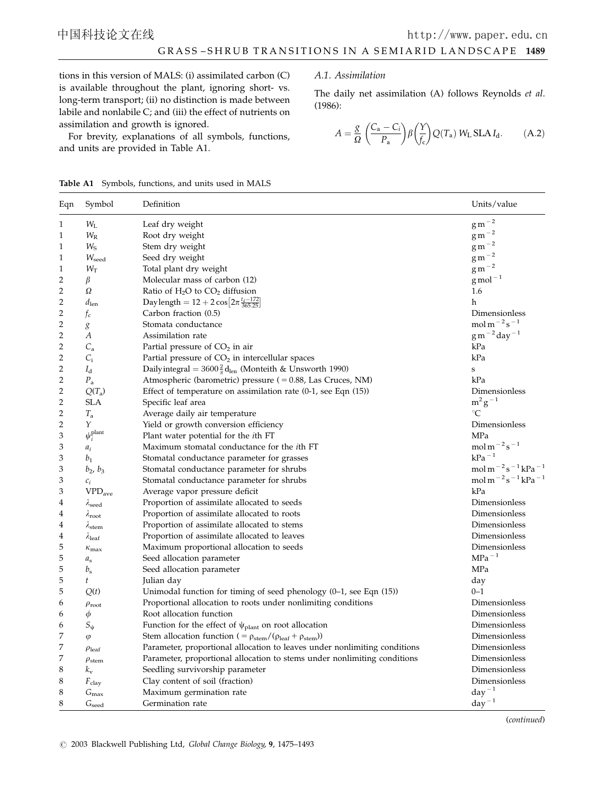tions in this version of MALS: (i) assimilated carbon (C) is available throughout the plant, ignoring short- vs. long-term transport; (ii) no distinction is made between labile and nonlabile C; and (iii) the effect of nutrients on assimilation and growth is ignored.

For brevity, explanations of all symbols, functions, and units are provided in Table A1.

## A.1. Assimilation

The daily net assimilation (A) follows Reynolds et al. (1986):

$$
A = \frac{g}{\Omega} \left( \frac{C_{\rm a} - C_i}{P_{\rm a}} \right) \beta \left( \frac{Y}{f_{\rm c}} \right) Q(T_{\rm a}) \, W_{\rm L} \, \text{SLA} \, I_{\rm d}.\tag{A.2}
$$

|  | <b>Table A1</b> Symbols, functions, and units used in MALS |  |  |  |  |  |  |
|--|------------------------------------------------------------|--|--|--|--|--|--|
|--|------------------------------------------------------------|--|--|--|--|--|--|

| Eqn | Symbol                                     | Definition                                                                                    | Units/value                                                                                  |
|-----|--------------------------------------------|-----------------------------------------------------------------------------------------------|----------------------------------------------------------------------------------------------|
| 1   | $W_{\rm L}$                                | Leaf dry weight                                                                               | $\rm g\,m^{-2}$                                                                              |
| 1   | $W_{R}$                                    | Root dry weight                                                                               | $\rm g\,m^{-2}$                                                                              |
| 1   | $W_{\rm S}$                                | Stem dry weight                                                                               | $\rm g\,m^{-2}$                                                                              |
| 1   | $W_{\text{seed}}$                          | Seed dry weight                                                                               | $\rm g\,m^{-2}$                                                                              |
| 1   | $W_T$                                      | Total plant dry weight                                                                        | $g m^{-2}$                                                                                   |
| 2   | β                                          | Molecular mass of carbon (12)                                                                 | $g$ mol <sup><math>-1</math></sup>                                                           |
| 2   | Ω                                          | Ratio of $H_2O$ to $CO_2$ diffusion                                                           | 1.6                                                                                          |
| 2   | $d_{\text{len}}$                           | Daylength = $12 + 2 \cos \left[2\pi \frac{t_d - 172}{365.25}\right]$                          | h                                                                                            |
| 2   | $f_c$                                      | Carbon fraction (0.5)                                                                         | Dimensionless                                                                                |
| 2   | g                                          | Stomata conductance                                                                           | mol m $^{-2}$ s <sup>-1</sup>                                                                |
| 2   | А                                          | Assimilation rate                                                                             | $g m^{-2}$ day <sup>-1</sup>                                                                 |
| 2   | $C_{\rm a}$                                | Partial pressure of CO <sub>2</sub> in air                                                    | kPa                                                                                          |
| 2   | $C_i$                                      | Partial pressure of $CO2$ in intercellular spaces                                             | kPa                                                                                          |
| 2   | $I_{d}$                                    | Dailyintegral = $3600\frac{2}{\pi}d_{\text{len}}$ (Monteith & Unsworth 1990)                  | $\mathbf S$                                                                                  |
| 2   | $P_{\rm a}$                                | Atmospheric (barometric) pressure ( = 0.88, Las Cruces, NM)                                   | kPa                                                                                          |
| 2   | $Q(T_a)$                                   | Effect of temperature on assimilation rate $(0-1)$ , see Eqn $(15)$ )                         | Dimensionless                                                                                |
| 2   | <b>SLA</b>                                 | Specific leaf area                                                                            | $m^2g^{-1}$                                                                                  |
| 2   | $T_{\rm a}$                                | Average daily air temperature                                                                 | $^{\circ}C$                                                                                  |
| 2   | Y                                          | Yield or growth conversion efficiency                                                         | Dimensionless                                                                                |
| 3   | $\psi_i^{\text{plant}}$                    | Plant water potential for the <i>i</i> th FT                                                  | MPa                                                                                          |
| 3   | $a_i$                                      | Maximum stomatal conductance for the <i>i</i> th FT                                           | mol m $^{-2}$ s $^{-1}$                                                                      |
| 3   | b <sub>1</sub>                             | Stomatal conductance parameter for grasses                                                    | $kPa-1$                                                                                      |
| 3   | $b_2, b_3$                                 | Stomatal conductance parameter for shrubs                                                     | mol m <sup><math>-2</math></sup> s <sup><math>-1</math></sup> kPa <sup><math>-1</math></sup> |
| 3   | $c_i$                                      | Stomatal conductance parameter for shrubs                                                     | mol m <sup><math>-2</math></sup> s <sup><math>-1</math></sup> kPa <sup><math>-1</math></sup> |
| 3   | $\ensuremath{\mathrm{VPD}_{\mathrm{ave}}}$ | Average vapor pressure deficit                                                                | kPa                                                                                          |
| 4   | $\lambda_{\text{seed}}$                    | Proportion of assimilate allocated to seeds                                                   | Dimensionless                                                                                |
| 4   | $\lambda_{\text{root}}$                    | Proportion of assimilate allocated to roots                                                   | Dimensionless                                                                                |
| 4   | $\lambda$ stem                             | Proportion of assimilate allocated to stems                                                   | Dimensionless                                                                                |
| 4   | $\lambda_{\text{leaf}}$                    | Proportion of assimilate allocated to leaves                                                  | Dimensionless                                                                                |
| 5   | $\kappa_{\rm max}$                         | Maximum proportional allocation to seeds                                                      | Dimensionless                                                                                |
| 5   | $a_{\rm s}$                                | Seed allocation parameter                                                                     | $MPa^{-1}$                                                                                   |
| 5   | $b_{\rm s}$                                | Seed allocation parameter                                                                     | MPa                                                                                          |
| 5   | t                                          | Julian day                                                                                    | day                                                                                          |
| 5   | Q(t)                                       | Unimodal function for timing of seed phenology $(0-1)$ , see Eqn $(15)$ )                     | $0 - 1$                                                                                      |
| 6   | $\rho_{\text{root}}$                       | Proportional allocation to roots under nonlimiting conditions                                 | Dimensionless                                                                                |
| 6   | $\phi$                                     | Root allocation function                                                                      | Dimensionless                                                                                |
| 6   | $S_{\Psi}$                                 | Function for the effect of $\psi_{\text{plant}}$ on root allocation                           | Dimensionless                                                                                |
| 7   | $\varphi$                                  | Stem allocation function ( = $\rho_{\text{stem}}/(\rho_{\text{leaf}} + \rho_{\text{stem}})$ ) | Dimensionless                                                                                |
| 7   | $\rho_{\text{leaf}}$                       | Parameter, proportional allocation to leaves under nonlimiting conditions                     | Dimensionless                                                                                |
| 7   | $\rho_{\text{stem}}$                       | Parameter, proportional allocation to stems under nonlimiting conditions                      | Dimensionless                                                                                |
| 8   | $k_{\rm v}$                                | Seedling survivorship parameter                                                               | Dimensionless                                                                                |
| 8   | $F_{\text{clay}}$                          | Clay content of soil (fraction)                                                               | Dimensionless                                                                                |
| 8   | $G_{\text{max}}$                           | Maximum germination rate                                                                      | $day^{-1}$                                                                                   |
| 8   | $G_{\text{seed}}$                          | Germination rate                                                                              | $day^{-1}$                                                                                   |

(continued)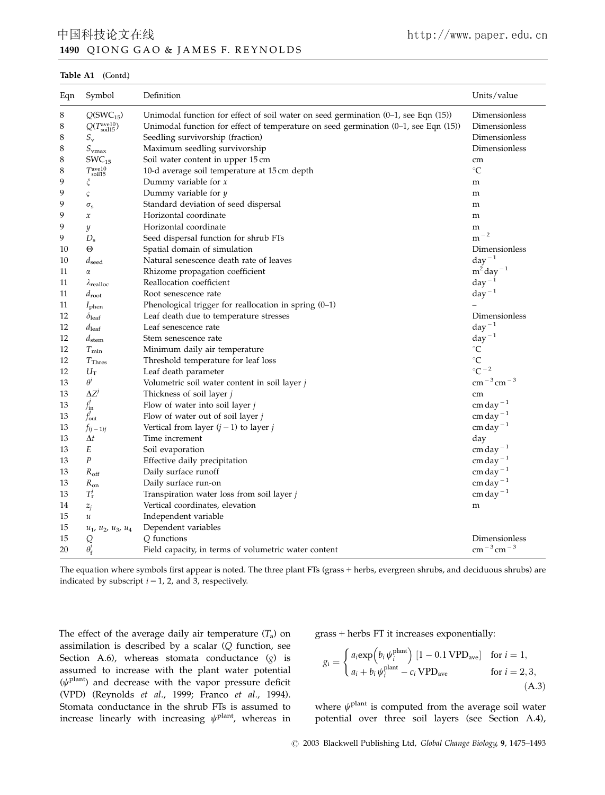# 1490 Q IONG GAO & JAMES F. REYNOLDS 中国科技论文在线 http://www.paper.edu.cn

Table A1 (Contd.)

| Eqn | Symbol                          | Definition                                                                                | Units/value                          |
|-----|---------------------------------|-------------------------------------------------------------------------------------------|--------------------------------------|
| 8   | $Q(SWC_{15})$                   | Unimodal function for effect of soil water on seed germination $(0-1)$ , see Eqn $(15)$ ) | Dimensionless                        |
| 8   | $Q(T_{\rm soil15}^{\rm ave10})$ | Unimodal function for effect of temperature on seed germination (0-1, see Eqn (15))       | Dimensionless                        |
| 8   | $S_{\rm v}$                     | Seedling survivorship (fraction)                                                          | Dimensionless                        |
| 8   | $S_{\rm vmax}$                  | Maximum seedling survivorship                                                             | Dimensionless                        |
| 8   | $SWC_{15}$                      | Soil water content in upper 15 cm                                                         | cm                                   |
| 8   | $T_{\rm soil15}^{\rm ave10}$    | 10-d average soil temperature at 15 cm depth                                              | $^{\circ}C$                          |
| 9   |                                 | Dummy variable for $x$                                                                    | m                                    |
| 9   | ς                               | Dummy variable for $y$                                                                    | m                                    |
| 9   | $\sigma_{\rm s}$                | Standard deviation of seed dispersal                                                      | m                                    |
| 9   | $\boldsymbol{\chi}$             | Horizontal coordinate                                                                     | m                                    |
| 9   | y                               | Horizontal coordinate                                                                     | m                                    |
| 9   | $D_{\rm s}$                     | Seed dispersal function for shrub FTs                                                     | $m^{-2}$                             |
| 10  | Θ                               | Spatial domain of simulation                                                              | Dimensionless                        |
| 10  | $d_{\text{seed}}$               | Natural senescence death rate of leaves                                                   | $day^{-1}$                           |
| 11  | $\alpha$                        | Rhizome propagation coefficient                                                           | $m^2$ day <sup><math>-1</math></sup> |
| 11  | $\lambda_{\text{realloc}}$      | Reallocation coefficient                                                                  | $day^{-1}$                           |
| 11  | $d_{\text{root}}$               | Root senescence rate                                                                      | $day^{-1}$                           |
| 11  | $I_{\rm phen}$                  | Phenological trigger for reallocation in spring (0-1)                                     |                                      |
| 12  | $\delta_{\rm leaf}$             | Leaf death due to temperature stresses                                                    | Dimensionless                        |
| 12  | $d_{\text{leaf}}$               | Leaf senescence rate                                                                      | $day^{-1}$                           |
| 12  | $d_{\rm stem}$                  | Stem senescence rate                                                                      | $day^{-1}$                           |
| 12  | $T_{\rm min}$                   | Minimum daily air temperature                                                             | $^\circ \text{C}$                    |
| 12  | $T_{\text{Thres}}$              | Threshold temperature for leaf loss                                                       | $^{\circ}C$                          |
| 12  | $U_{\rm T}$                     | Leaf death parameter                                                                      | $^{\circ}C^{-2}$                     |
| 13  | $\theta$ <sup>j</sup>           | Volumetric soil water content in soil layer $j$                                           | $\rm cm^{-3}$ cm <sup>-3</sup>       |
| 13  | $\Delta Z^j$                    | Thickness of soil layer j                                                                 | cm                                   |
| 13  | $f_{\rm in}^j$                  | Flow of water into soil layer $j$                                                         | cm day <sup><math>-1</math></sup>    |
| 13  | $f'_{\text{out}}$               | Flow of water out of soil layer $j$                                                       | cm day <sup><math>-1</math></sup>    |
| 13  | $f(i-1)i$                       | Vertical from layer $(j - 1)$ to layer j                                                  | cm day $^{-1}$                       |
| 13  | $\Delta t$                      | Time increment                                                                            | day                                  |
| 13  | E                               | Soil evaporation                                                                          | cm day <sup><math>-1</math></sup>    |
| 13  | $\boldsymbol{P}$                | Effective daily precipitation                                                             | $cm$ day <sup><math>-1</math></sup>  |
| 13  | $R_{\rm off}$                   | Daily surface runoff                                                                      | $cm$ day $^{-1}$                     |
| 13  | $R_{\rm on}$                    | Daily surface run-on                                                                      | cm day <sup><math>-1</math></sup>    |
| 13  | $T'_{\rm r}$                    | Transpiration water loss from soil layer j                                                | cm day <sup><math>-1</math></sup>    |
| 14  | $z_i$                           | Vertical coordinates, elevation                                                           | m                                    |
| 15  | $\boldsymbol{u}$                | Independent variable                                                                      |                                      |
| 15  | $u_1$ , $u_2$ , $u_3$ , $u_4$   | Dependent variables                                                                       |                                      |
| 15  |                                 | Q functions                                                                               | Dimensionless                        |
| 20  | $Q_{\vec{\theta_{\rm f}}}$      | Field capacity, in terms of volumetric water content                                      | $\rm cm^{-3}$ cm <sup>-3</sup>       |

The equation where symbols first appear is noted. The three plant FTs (grass + herbs, evergreen shrubs, and deciduous shrubs) are indicated by subscript  $i = 1$ , 2, and 3, respectively.

The effect of the average daily air temperature  $(T_a)$  on assimilation is described by a scalar (Q function, see Section A.6), whereas stomata conductance (g) is assumed to increase with the plant water potential  $(\psi^{\text{plant}})$  and decrease with the vapor pressure deficit (VPD) (Reynolds et al., 1999; Franco et al., 1994). Stomata conductance in the shrub FTs is assumed to increase linearly with increasing  $\psi^{\text{plant}}$ , whereas in  $grass + herbs FT$  it increases exponentially:

$$
g_i = \begin{cases} a_i \exp\left(b_i \psi_i^{\text{plant}}\right) \left[1 - 0.1 \text{ VPD}_{\text{ave}}\right] & \text{for } i = 1, \\ a_i + b_i \psi_i^{\text{plant}} - c_i \text{ VPD}_{\text{ave}} & \text{for } i = 2, 3, \end{cases}
$$
\n(A.3)

where  $\psi^{\text{plant}}$  is computed from the average soil water potential over three soil layers (see Section A.4),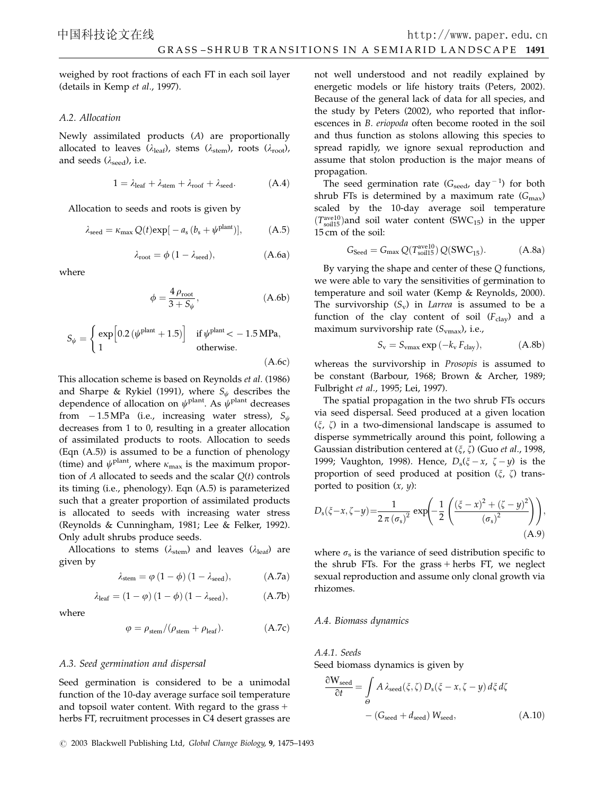weighed by root fractions of each FT in each soil layer (details in Kemp et al., 1997).

## A.2. Allocation

Newly assimilated products (A) are proportionally allocated to leaves  $(\lambda_{\text{leaf}})$ , stems  $(\lambda_{\text{stem}})$ , roots  $(\lambda_{\text{root}})$ , and seeds  $(\lambda_{\text{seed}})$ , i.e.

$$
1 = \lambda_{leaf} + \lambda_{stem} + \lambda_{roof} + \lambda_{seed}.\hspace{1cm} (A.4)
$$

Allocation to seeds and roots is given by

$$
\lambda_{\text{seed}} = \kappa_{\text{max}} Q(t) \exp[-a_{\text{s}} (b_{\text{s}} + \psi^{\text{plant}})], \tag{A.5}
$$

$$
\lambda_{\text{root}} = \phi \left( 1 - \lambda_{\text{seed}} \right), \tag{A.6a}
$$

where

$$
\phi = \frac{4 \,\rho_{\text{root}}}{3 + S_{\psi}},\tag{A.6b}
$$

$$
S_{\psi} = \begin{cases} \exp\left[0.2\left(\psi^{\text{plant}} + 1.5\right)\right] & \text{if } \psi^{\text{plant}} < -1.5 \text{ MPa}, \\ 1 & \text{otherwise.} \end{cases}
$$
\n(A.6c)

This allocation scheme is based on Reynolds et al. (1986) and Sharpe & Rykiel (1991), where  $S_{\psi}$  describes the dependence of allocation on  $\psi^{\text{plant}}$ . As  $\psi^{\text{plant}}$  decreases from  $-1.5\,\text{MPa}$  (i.e., increasing water stress),  $S_{\psi}$ decreases from 1 to 0, resulting in a greater allocation of assimilated products to roots. Allocation to seeds (Eqn (A.5)) is assumed to be a function of phenology (time) and  $\psi^{\text{plant}}$ , where  $\kappa_{\text{max}}$  is the maximum proportion of  $A$  allocated to seeds and the scalar  $Q(t)$  controls its timing (i.e., phenology). Eqn (A.5) is parameterized such that a greater proportion of assimilated products is allocated to seeds with increasing water stress (Reynolds & Cunningham, 1981; Lee & Felker, 1992). Only adult shrubs produce seeds.

Allocations to stems ( $\lambda_{\text{stem}}$ ) and leaves ( $\lambda_{\text{leaf}}$ ) are given by

$$
\lambda_{stem}=\phi\left(1-\phi\right)\left(1-\lambda_{seed}\right),\qquad \qquad (A.7a)
$$

$$
\lambda_{\text{leaf}} = \left(1-\phi\right)\left(1-\phi\right)\left(1-\lambda_{\text{seed}}\right),\tag{A.7b}
$$

where

$$
\varphi = \rho_{\text{stem}} / (\rho_{\text{stem}} + \rho_{\text{leaf}}). \tag{A.7c}
$$

## A.3. Seed germination and dispersal

Seed germination is considered to be a unimodal function of the 10-day average surface soil temperature and topsoil water content. With regard to the grass  $+$ herbs FT, recruitment processes in C4 desert grasses are

 $C$  2003 Blackwell Publishing Ltd, Global Change Biology, 9, 1475-1493

not well understood and not readily explained by energetic models or life history traits (Peters, 2002). Because of the general lack of data for all species, and the study by Peters (2002), who reported that inflorescences in B. eriopoda often become rooted in the soil and thus function as stolons allowing this species to spread rapidly, we ignore sexual reproduction and assume that stolon production is the major means of propagation.

The seed germination rate  $(G_{\text{seed}}$ , day<sup>-1</sup>) for both shrub FTs is determined by a maximum rate  $(G_{\text{max}})$ scaled by the 10-day average soil temperature  $(T_{\text{solid}}^{\text{ave10}})$  and soil water content (SWC<sub>15</sub>) in the upper 15 cm of the soil:

$$
G_{\text{Seed}} = G_{\text{max}} Q(T_{\text{solid}}^{\text{avel0}}) Q(\text{SWC}_{15}). \tag{A.8a}
$$

By varying the shape and center of these Q functions, we were able to vary the sensitivities of germination to temperature and soil water (Kemp & Reynolds, 2000). The survivorship  $(S_v)$  in Larrea is assumed to be a function of the clay content of soil  $(F_{\text{clay}})$  and a maximum survivorship rate  $(S_{\text{vmax}})$ , i.e.,

$$
S_{\rm v} = S_{\rm vmax} \exp\left(-k_{\rm v} F_{\rm clay}\right),\tag{A.8b}
$$

whereas the survivorship in Prosopis is assumed to be constant (Barbour, 1968; Brown & Archer, 1989; Fulbright et al., 1995; Lei, 1997).

The spatial propagation in the two shrub FTs occurs via seed dispersal. Seed produced at a given location  $(\xi, \zeta)$  in a two-dimensional landscape is assumed to disperse symmetrically around this point, following a Gaussian distribution centered at  $(\xi, \zeta)$  (Guo et al., 1998, 1999; Vaughton, 1998). Hence,  $D_s(\xi - x, \zeta - y)$  is the proportion of seed produced at position  $(\xi, \zeta)$  transported to position  $(x, y)$ :

$$
D_{s}(\xi - x, \zeta - y) = \frac{1}{2 \pi (\sigma_{s})^{2}} \exp\left(-\frac{1}{2} \left( \frac{(\xi - x)^{2} + (\zeta - y)^{2}}{(\sigma_{s})^{2}} \right) \right),\tag{A.9}
$$

where  $\sigma_s$  is the variance of seed distribution specific to the shrub FTs. For the grass  $+$  herbs FT, we neglect sexual reproduction and assume only clonal growth via rhizomes.

#### A.4. Biomass dynamics

A.4.1. Seeds Seed biomass dynamics is given by

$$
\frac{\partial W_{\text{seed}}}{\partial t} = \int_{\Theta} A \lambda_{\text{seed}}(\xi, \zeta) D_{\text{s}}(\xi - x, \zeta - y) d\xi d\zeta
$$

$$
- (G_{\text{seed}} + d_{\text{seed}}) W_{\text{seed}}, \tag{A.10}
$$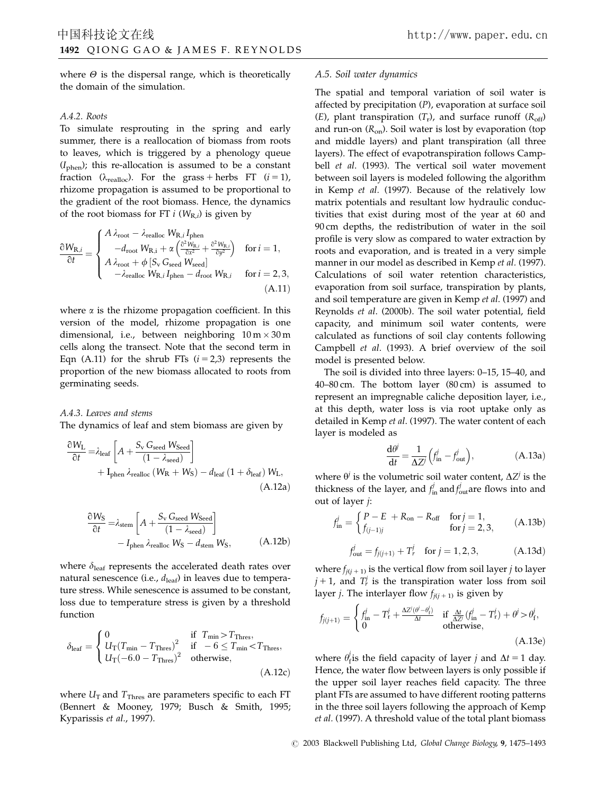where  $\Theta$  is the dispersal range, which is theoretically the domain of the simulation.

## A.4.2. Roots

To simulate resprouting in the spring and early summer, there is a reallocation of biomass from roots to leaves, which is triggered by a phenology queue  $(I<sub>phen</sub>)$ ; this re-allocation is assumed to be a constant fraction ( $\lambda_{\text{realloc}}$ ). For the grass + herbs FT ( $i = 1$ ), rhizome propagation is assumed to be proportional to the gradient of the root biomass. Hence, the dynamics of the root biomass for FT  $i$  ( $W_{\text{R},i}$ ) is given by

$$
\frac{\partial W_{\text{R},i}}{\partial t} = \begin{cases} A \lambda_{\text{root}} - \lambda_{\text{realloc}} W_{\text{R},i} I_{\text{phen}} \\ -d_{\text{root}} W_{\text{R},i} + \alpha \left( \frac{\partial^2 W_{\text{R},i}}{\partial x^2} + \frac{\partial^2 W_{\text{R},i}}{\partial y^2} \right) & \text{for } i = 1, \\ A \lambda_{\text{root}} + \phi \left[ S_{\text{v}} G_{\text{seed}} W_{\text{seed}} \right] \\ -\lambda_{\text{realloc}} W_{\text{R},i} I_{\text{phen}} - d_{\text{root}} W_{\text{R},i} & \text{for } i = 2, 3, \\ (A.11) \end{cases}
$$

where  $\alpha$  is the rhizome propagation coefficient. In this version of the model, rhizome propagation is one dimensional, i.e., between neighboring  $10 \text{ m} \times 30 \text{ m}$ cells along the transect. Note that the second term in Eqn (A.11) for the shrub FTs  $(i = 2,3)$  represents the proportion of the new biomass allocated to roots from germinating seeds.

A.4.3. Leaves and stems The dynamics of leaf and stem biomass are given by

$$
\frac{\partial W_{\rm L}}{\partial t} = \lambda_{\rm leaf} \left[ A + \frac{S_{\rm v} G_{\rm seed} W_{\rm seed}}{(1 - \lambda_{\rm seed})} \right] + I_{\rm phen} \lambda_{\rm realloc} \left( W_{\rm R} + W_{\rm S} \right) - d_{\rm leaf} \left( 1 + \delta_{\rm leaf} \right) W_{\rm L},
$$
\n(A.12a)

$$
\frac{\partial W_{\rm S}}{\partial t} = \lambda_{\rm stem} \left[ A + \frac{S_{\rm v} G_{\rm seed} W_{\rm seed}}{(1 - \lambda_{\rm seed})} \right]
$$

$$
- I_{\rm phen} \lambda_{\rm realloc} W_{\rm S} - d_{\rm stem} W_{\rm S}, \tag{A.12b}
$$

where  $\delta_{\text{leaf}}$  represents the accelerated death rates over natural senescence (i.e.,  $d_{\text{leaf}}$ ) in leaves due to temperature stress. While senescence is assumed to be constant, loss due to temperature stress is given by a threshold function

$$
\delta_{\text{leaf}} = \begin{cases}\n0 & \text{if } T_{\text{min}} > T_{\text{Thres}}, \\
U_T (T_{\text{min}} - T_{\text{Thres}})^2 & \text{if } -6 \le T_{\text{min}} < T_{\text{Thres}}, \\
U_T (-6.0 - T_{\text{Thres}})^2 & \text{otherwise},\n\end{cases}
$$
\n(A.12c)

where  $U_T$  and  $T_{Thres}$  are parameters specific to each FT (Bennert & Mooney, 1979; Busch & Smith, 1995; Kyparissis et al., 1997).

#### A.5. Soil water dynamics

The spatial and temporal variation of soil water is affected by precipitation (P), evaporation at surface soil (E), plant transpiration  $(T_r)$ , and surface runoff  $(R_{off})$ and run-on  $(R_{\text{on}})$ . Soil water is lost by evaporation (top and middle layers) and plant transpiration (all three layers). The effect of evapotranspiration follows Campbell et al. (1993). The vertical soil water movement between soil layers is modeled following the algorithm in Kemp et al. (1997). Because of the relatively low matrix potentials and resultant low hydraulic conductivities that exist during most of the year at 60 and 90 cm depths, the redistribution of water in the soil profile is very slow as compared to water extraction by roots and evaporation, and is treated in a very simple manner in our model as described in Kemp et al. (1997). Calculations of soil water retention characteristics, evaporation from soil surface, transpiration by plants, and soil temperature are given in Kemp et al. (1997) and Reynolds et al. (2000b). The soil water potential, field capacity, and minimum soil water contents, were calculated as functions of soil clay contents following Campbell et al. (1993). A brief overview of the soil model is presented below.

The soil is divided into three layers: 0–15, 15–40, and 40–80 cm. The bottom layer (80 cm) is assumed to represent an impregnable caliche deposition layer, i.e., at this depth, water loss is via root uptake only as detailed in Kemp et al. (1997). The water content of each layer is modeled as

$$
\frac{d\theta^j}{dt} = \frac{1}{\Delta Z^j} \left( f_{\text{in}}^j - f_{\text{out}}^j \right),\tag{A.13a}
$$

where  $\theta^j$  is the volumetric soil water content,  $\Delta Z^j$  is the thickness of the layer, and  $f_{\text{in}}^j$  and  $f_{\text{out}}^j$  are flows into and out of layer j:

$$
f_{\text{in}}^j = \begin{cases} P - E + R_{\text{on}} - R_{\text{off}} & \text{for } j = 1, \\ f_{(j-1)j} & \text{for } j = 2, 3, \end{cases}
$$
 (A.13b)

$$
f_{\text{out}}^j = f_{j(j+1)} + T_r^j \quad \text{for } j = 1, 2, 3,
$$
 (A.13d)

where  $f_{i(i+1)}$  is the vertical flow from soil layer *j* to layer  $j + 1$ , and  $T_r^j$  is the transpiration water loss from soil layer *j*. The interlayer flow  $f_{i(i+1)}$  is given by

$$
f_{j(j+1)} = \begin{cases} f_{\text{in}}^j - T_{\text{r}}^j + \frac{\Delta Z^j(\theta^j - \theta_{\text{r}}^j)}{\Delta t} & \text{if } \frac{\Delta t}{\Delta Z^j} (f_{\text{in}}^j - T_{\text{r}}^j) + \theta^j > \theta_{\text{r}}^j, \\ 0 & \text{otherwise}, \end{cases}
$$
(A.13e)

where  $\theta_f^j$  is the field capacity of layer j and  $\Delta t = 1$  day. Hence, the water flow between layers is only possible if the upper soil layer reaches field capacity. The three plant FTs are assumed to have different rooting patterns in the three soil layers following the approach of Kemp et al. (1997). A threshold value of the total plant biomass